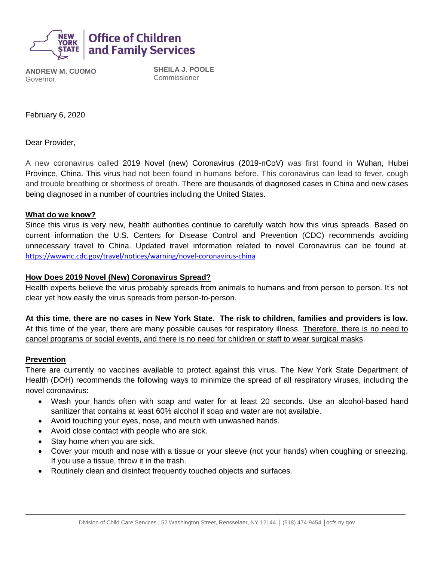

**ANDREW M. CUOMO** Governor

**SHEILA J. POOLE** Commissioner

February 6, 2020

Dear Provider,

A new coronavirus called 2019 Novel (new) Coronavirus (2019-nCoV) was first found in Wuhan, Hubei Province, China. This virus had not been found in humans before. This coronavirus can lead to fever, cough and trouble breathing or shortness of breath. There are thousands of diagnosed cases in China and new cases being diagnosed in a number of countries including the United States.

#### **What do we know?**

Since this virus is very new, health authorities continue to carefully watch how this virus spreads. Based on current information the U.S. Centers for Disease Control and Prevention (CDC) recommends avoiding unnecessary travel to China. Updated travel information related to novel Coronavirus can be found at. <https://wwwnc.cdc.gov/travel/notices/warning/novel-coronavirus-china>

### **How Does 2019 Novel (New) Coronavirus Spread?**

Health experts believe the virus probably spreads from animals to humans and from person to person. It's not clear yet how easily the virus spreads from person-to-person.

**At this time, there are no cases in New York State. The risk to children, families and providers is low.**  At this time of the year, there are many possible causes for respiratory illness. Therefore, there is no need to cancel programs or social events, and there is no need for children or staff to wear surgical masks.

### **Prevention**

There are currently no vaccines available to protect against this virus. The New York State Department of Health (DOH) recommends the following ways to minimize the spread of all respiratory viruses, including the novel coronavirus:

- Wash your hands often with soap and water for at least 20 seconds. Use an alcohol-based hand sanitizer that contains at least 60% alcohol if soap and water are not available.
- Avoid touching your eyes, nose, and mouth with unwashed hands.
- Avoid close contact with people who are sick.
- Stay home when you are sick.
- Cover your mouth and nose with a tissue or your sleeve (not your hands) when coughing or sneezing. If you use a tissue, throw it in the trash.
- Routinely clean and disinfect frequently touched objects and surfaces.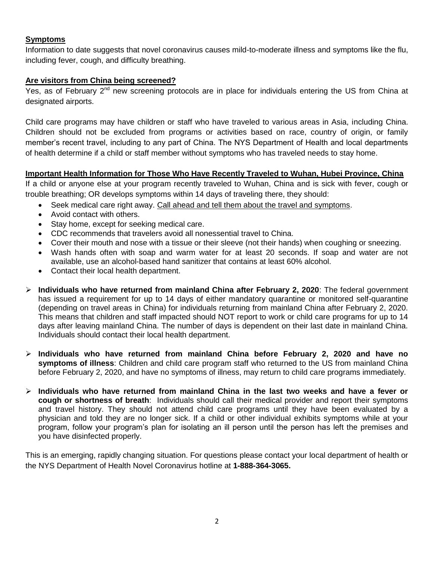# **Symptoms**

Information to date suggests that novel coronavirus causes mild-to-moderate illness and symptoms like the flu, including fever, cough, and difficulty breathing.

# **Are visitors from China being screened?**

Yes, as of February  $2^{nd}$  new screening protocols are in place for individuals entering the US from China at designated airports.

Child care programs may have children or staff who have traveled to various areas in Asia, including China. Children should not be excluded from programs or activities based on race, country of origin, or family member's recent travel, including to any part of China. The NYS Department of Health and local departments of health determine if a child or staff member without symptoms who has traveled needs to stay home.

# **Important Health Information for Those Who Have Recently Traveled to Wuhan, Hubei Province, China**

If a child or anyone else at your program recently traveled to Wuhan, China and is sick with fever, cough or trouble breathing; OR develops symptoms within 14 days of traveling there, they should:

- Seek medical care right away. Call ahead and tell them about the travel and symptoms.
- Avoid contact with others.
- Stay home, except for seeking medical care.
- CDC recommends that travelers avoid all nonessential travel to China.
- Cover their mouth and nose with a tissue or their sleeve (not their hands) when coughing or sneezing.
- Wash hands often with soap and warm water for at least 20 seconds. If soap and water are not available, use an alcohol-based hand sanitizer that contains at least 60% alcohol.
- Contact their local health department.
- **Individuals who have returned from mainland China after February 2, 2020**: The federal government has issued a requirement for up to 14 days of either mandatory quarantine or monitored self-quarantine (depending on travel areas in China) for individuals returning from mainland China after February 2, 2020. This means that children and staff impacted should NOT report to work or child care programs for up to 14 days after leaving mainland China. The number of days is dependent on their last date in mainland China. Individuals should contact their local health department.
- **Individuals who have returned from mainland China before February 2, 2020 and have no symptoms of illness**: Children and child care program staff who returned to the US from mainland China before February 2, 2020, and have no symptoms of illness, may return to child care programs immediately.
- **Individuals who have returned from mainland China in the last two weeks and have a fever or cough or shortness of breath**: Individuals should call their medical provider and report their symptoms and travel history. They should not attend child care programs until they have been evaluated by a physician and told they are no longer sick. If a child or other individual exhibits symptoms while at your program, follow your program's plan for isolating an ill person until the person has left the premises and you have disinfected properly.

This is an emerging, rapidly changing situation. For questions please contact your local department of health or the NYS Department of Health Novel Coronavirus hotline at **1-888-364-3065.**